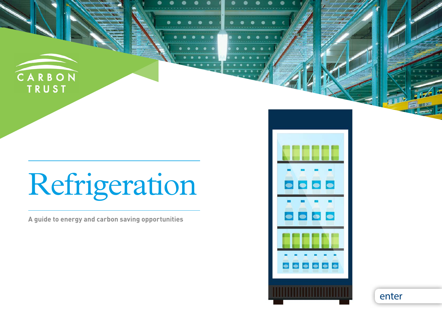

# Refrigeration

**A guide to energy and carbon saving opportunities**



enter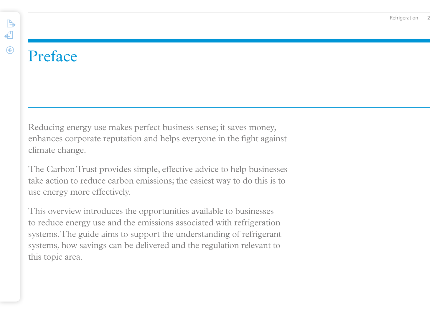# Preface

 $\begin{picture}(120,20) \put(0,0){\line(1,0){10}} \put(15,0){\line(1,0){10}} \put(15,0){\line(1,0){10}} \put(15,0){\line(1,0){10}} \put(15,0){\line(1,0){10}} \put(15,0){\line(1,0){10}} \put(15,0){\line(1,0){10}} \put(15,0){\line(1,0){10}} \put(15,0){\line(1,0){10}} \put(15,0){\line(1,0){10}} \put(15,0){\line(1,0){10}} \put(15,0){\line($ 

 $\leftarrow$ 

 $\odot$ 

Reducing energy use makes perfect business sense; it saves money, enhances corporate reputation and helps everyone in the fight against climate change.

The Carbon Trust provides simple, effective advice to help businesses take action to reduce carbon emissions; the easiest way to do this is to use energy more effectively.

This overview introduces the opportunities available to businesses to reduce energy use and the emissions associated with refrigeration systems. The guide aims to support the understanding of refrigerant systems, how savings can be delivered and the regulation relevant to this topic area.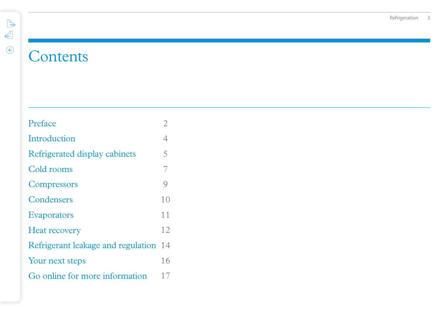# **Contents**

| Preface                            | 2             |
|------------------------------------|---------------|
| Introduction                       | 4             |
| Refrigerated display cabinets      | 5             |
| Cold rooms                         | 7             |
| Compressors                        | $\mathcal{Q}$ |
| Condensers                         | 10            |
| <b>Evaporators</b>                 | 11            |
| <b>Heat recovery</b>               | 12            |
| Refrigerant leakage and regulation | 14            |
| Your next steps                    | 16            |
| Go online for more information     | 17            |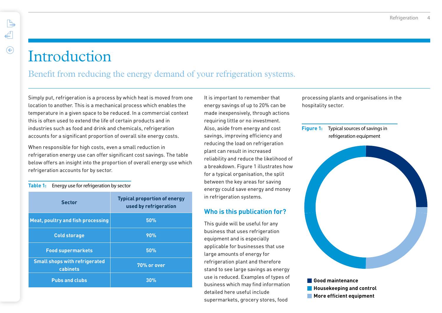### **Introduction**

 $\mathbb{R}$ 

 $\leftarrow$ 

 $\odot$ 

### Benefit from reducing the energy demand of your refrigeration systems.

Simply put, refrigeration is a process by which heat is moved from one location to another. This is a mechanical process which enables the temperature in a given space to be reduced. In a commercial context this is often used to extend the life of certain products and in industries such as food and drink and chemicals, refrigeration accounts for a significant proportion of overall site energy costs.

When responsible for high costs, even a small reduction in refrigeration energy use can offer significant cost savings. The table below offers an insight into the proportion of overall energy use which refrigeration accounts for by sector.

### **Table 1:** Energy use for refrigeration by sector

| <b>Sector</b>                                    | <b>Typical proportion of energy</b><br>used by refrigeration |
|--------------------------------------------------|--------------------------------------------------------------|
| <b>Meat, poultry and fish processing</b>         | 50%                                                          |
| <b>Cold storage</b>                              | 90%                                                          |
| <b>Food supermarkets</b>                         | 50%                                                          |
| <b>Small shops with refrigerated</b><br>cabinets | 70% or over                                                  |
| <b>Pubs and clubs</b>                            | 30%                                                          |

It is important to remember that energy savings of up to 20% can be made inexpensively, through actions requiring little or no investment. Also, aside from energy and cost savings, improving efficiency and reducing the load on refrigeration plant can result in increased reliability and reduce the likelihood of a breakdown. Figure 1 illustrates how for a typical organisation, the split between the key areas for saving energy could save energy and money in refrigeration systems.

### **Who is this publication for?**

This guide will be useful for any business that uses refrigeration equipment and is especially applicable for businesses that use large amounts of energy for refrigeration plant and therefore stand to see large savings as energy use is reduced. Examples of types of business which may find information detailed here useful include supermarkets, grocery stores, food

processing plants and organisations in the hospitality sector.

### **Figure 1:** Typical sources of savings in refrigeration equipment



**Pubs and clubs 30% Good maintenance Housekeeping and control More efficient equipment**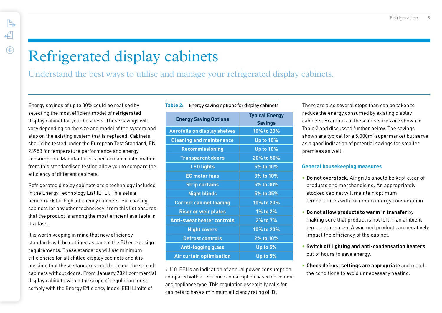## Refrigerated display cabinets

Understand the best ways to utilise and manage your refrigerated display cabinets.

Energy savings of up to 30% could be realised by selecting the most efficient model of refrigerated display cabinet for your business. These savings will vary depending on the size and model of the system and also on the existing system that is replaced. Cabinets should be tested under the European Test Standard, EN 23953 for temperature performance and energy consumption. Manufacturer's performance information from this standardised testing allow you to compare the efficiency of different cabinets.

Refrigerated display cabinets are a technology included in the Energy Technology List (ETL). This sets a benchmark for high-efficiency cabinets. Purchasing cabinets (or any other technology) from this list ensures that the product is among the most efficient available in its class.

It is worth keeping in mind that new efficiency standards will be outlined as part of the EU eco-design requirements. These standards will set minimum efficiencies for all chilled display cabinets and it is possible that these standards could rule out the sale of cabinets without doors. From January 2021 commercial display cabinets within the scope of regulation must comply with the Energy Efficiency Index (EEI) Limits of

| Table 2:<br>Energy saving options for display cabinets |                                         |  |  |  |  |
|--------------------------------------------------------|-----------------------------------------|--|--|--|--|
| <b>Energy Saving Options</b>                           | <b>Typical Energy</b><br><b>Savings</b> |  |  |  |  |
| <b>Aerofoils on display shelves</b>                    | 10% to 20%                              |  |  |  |  |
| <b>Cleaning and maintenance</b>                        | <b>Up to 10%</b>                        |  |  |  |  |
| <b>Recommissioning</b>                                 | <b>Up to 10%</b>                        |  |  |  |  |
| <b>Transparent doors</b>                               | 20% to 50%                              |  |  |  |  |
| <b>LED lights</b>                                      | 5% to 10%                               |  |  |  |  |
| <b>EC</b> motor fans                                   | 3% to 10%                               |  |  |  |  |
| <b>Strip curtains</b>                                  | 5% to 30%                               |  |  |  |  |
| <b>Night blinds</b>                                    | 5% to 35%                               |  |  |  |  |
| <b>Correct cabinet loading</b>                         | 10% to 20%                              |  |  |  |  |
| <b>Riser or weir plates</b>                            | 1% to 2%                                |  |  |  |  |
| <b>Anti-sweat heater controls</b>                      | 2% to 7%                                |  |  |  |  |
| <b>Night covers</b>                                    | 10% to 20%                              |  |  |  |  |
| <b>Defrost controls</b>                                | 2% to 10%                               |  |  |  |  |
| <b>Anti-fogging glass</b>                              | Up to 5%                                |  |  |  |  |
| <b>Air curtain optimisation</b>                        | Up to 5%                                |  |  |  |  |
|                                                        |                                         |  |  |  |  |

< 110. EEI is an indication of annual power consumption compared with a reference consumption based on volume and appliance type. This regulation essentially calls for cabinets to have a minimum efficiency rating of 'D'.

There are also several steps than can be taken to reduce the energy consumed by existing display cabinets. Examples of these measures are shown in Table 2 and discussed further below. The savings shown are typical for a  $5,000<sup>m²</sup>$  supermarket but serve as a good indication of potential savings for smaller premises as well.

### **General housekeeping measures**

- **Do not overstock.** Air grills should be kept clear of products and merchandising. An appropriately stocked cabinet will maintain optimum temperatures with minimum energy consumption.
- **Do not allow products to warm in transfer** by making sure that product is not left in an ambient temperature area. A warmed product can negatively impact the efficiency of the cabinet.
- **Switch off lighting and anti-condensation heaters**  out of hours to save energy.
- **Check defrost settings are appropriate** and match the conditions to avoid unnecessary heating.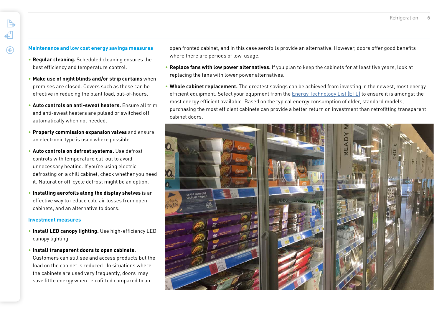### **Maintenance and low cost energy savings measures**

- **Regular cleaning.** Scheduled cleaning ensures the best efficiency and temperature control.
- **Make use of night blinds and/or strip curtains** when premises are closed. Covers such as these can be effective in reducing the plant load, out-of-hours.
- **Auto controls on anti-sweat heaters.** Ensure all trim and anti-sweat heaters are pulsed or switched off automatically when not needed.
- **Properly commission expansion valves** and ensure an electronic type is used where possible.
- **Auto controls on defrost systems.** Use defrost controls with temperature cut-out to avoid unnecessary heating. If you're using electric defrosting on a chill cabinet, check whether you need it. Natural or off-cycle defrost might be an option.
- **Installing aerofoils along the display shelves** is an effective way to reduce cold air losses from open cabinets, and an alternative to doors.

#### **Investment measures**

- **Install LED canopy lighting.** Use high-efficiency LED canopy lighting.
- **Install transparent doors to open cabinets.**  Customers can still see and access products but the load on the cabinet is reduced. In situations where the cabinets are used very frequently, doors may save little energy when retrofitted compared to an

open fronted cabinet, and in this case aerofoils provide an alternative. However, doors offer good benefits where there are periods of low usage.

- **Replace fans with low power alternatives.** If you plan to keep the cabinets for at least five years, look at replacing the fans with lower power alternatives.
- **Whole cabinet replacement.** The greatest savings can be achieved from investing in the newest, most energy efficient equipment. Select your equpment from the [Energy Technology List \(ETL\)](https://www.carbontrust.com/ETL/) to ensure it is amongst the most energy efficient available. Based on the typical energy consumption of older, standard models, purchasing the most efficient cabinets can provide a better return on investment than retrofitting transparent cabinet doors.

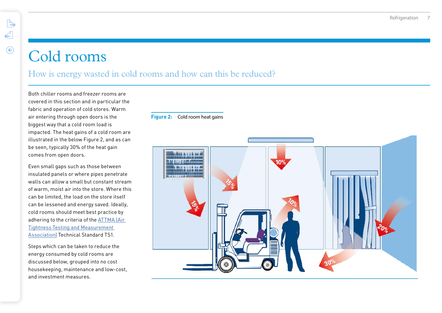### Cold rooms

 $\begin{picture}(120,15) \put(0,0){\line(1,0){15}} \put(15,0){\line(1,0){15}} \put(15,0){\line(1,0){15}} \put(15,0){\line(1,0){15}} \put(15,0){\line(1,0){15}} \put(15,0){\line(1,0){15}} \put(15,0){\line(1,0){15}} \put(15,0){\line(1,0){15}} \put(15,0){\line(1,0){15}} \put(15,0){\line(1,0){15}} \put(15,0){\line(1,0){15}} \put(15,0){\line($ 

€

 $\odot$ 

### How is energy wasted in cold rooms and how can this be reduced?

Both chiller rooms and freezer rooms are covered in this section and in particular the fabric and operation of cold stores. Warm air entering through open doors is the biggest way that a cold room load is impacted. The heat gains of a cold room are illustrated in the below Figure 2, and as can be seen, typically 30% of the heat gain comes from open doors.

Even small gaps such as those between insulated panels or where pipes penetrate walls can allow a small but constant stream of warm, moist air into the store. Where this can be limited, the load on the store itself can be lessened and energy saved. Ideally, cold rooms should meet best practice by adhering to the criteria of the [ATTMA \(Air](https://www.bcta.group/attma/)  [Tightness Testing and Measurement](https://www.bcta.group/attma/)  [Association\)](https://www.bcta.group/attma/) Technical Standard TS1.

Steps which can be taken to reduce the energy consumed by cold rooms are discussed below, grouped into no cost housekeeping, maintenance and low-cost, and investment measures.

### **Figure 2:** Cold room heat gains

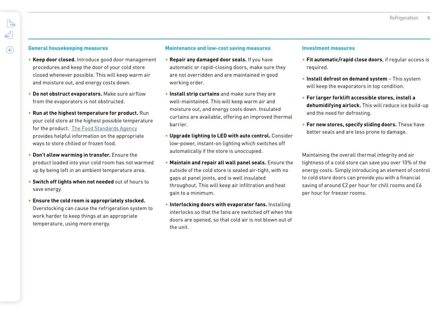### **General housekeeping measures**

- **Keep door closed.** Introduce good door management procedures and keep the door of your cold store closed whenever possible. This will keep warm air and moisture out, and energy costs down.
- **Do not obstruct evaporators.** Make sure airflow from the evaporators is not obstructed.
- **Run at the highest temperature for product.** Run your cold store at the highest possible temperature for the product. [The Food Standards Agency](https://www.food.gov.uk/business-guidance/safer-food-better-business) provides helpful information on the appropriate ways to store chilled or frozen food.
- **Don't allow warming in transfer.** Ensure the product loaded into your cold room has not warmed up by being left in an ambient temperature area.
- **Switch off lights when not needed** out of hours to save energy.
- **Ensure the cold room is appropriately stocked.**  Overstocking can cause the refrigeration system to work harder to keep things at an appropriate temperature, using more energy.

### **Maintenance and low-cost saving measures**

- **Repair any damaged door seals.** If you have automatic or rapid-closing doors, make sure they are not overridden and are maintained in good working order.
- **Install strip curtains** and make sure they are well-maintained. This will keep warm air and moisture out, and energy costs down. Insulated curtains are available, offering an improved thermal barrier.
- **Upgrade lighting to LED with auto control.** Consider low-power, instant-on lighting which switches off automatically if the store is unoccupied.
- **Maintain and repair all wall panel seals.** Ensure the outside of the cold store is sealed air-tight, with no gaps at panel joints, and is well insulated throughout. This will keep air infiltration and heat gain to a minimum.
- **Interlocking doors with evaporator fans.** Installing interlocks so that the fans are switched off when the doors are opened, so that cold air is not blown out of the unit.

#### **Investment measures**

- **Fit automatic/rapid close doors**, if regular access is required.
- **Install defrost on demand system** This system will keep the evaporators in top condition.
- **For larger forklift accessible stores, install a dehumidifying airlock.** This will reduce ice build-up and the need for defrosting.
- **For new stores, specify sliding doors.** These have better seals and are less prone to damage.

Maintaining the overall thermal integrity and air tightness of a cold store can save you over 10% of the energy costs. Simply introducing an element of control to cold store doors can provide you with a financial saving of around £2 per hour for chill rooms and £6 per hour for freezer rooms.

 $\leftarrow$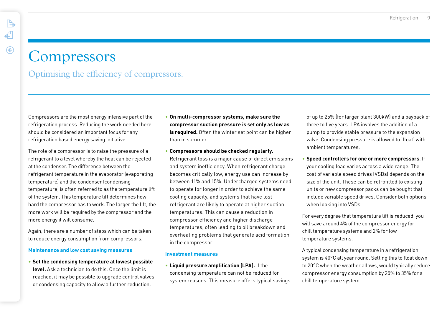### **Compressors**

 $\mathbb{R}$ 

 $\leftarrow$ 

 $\odot$ 

Optimising the efficiency of compressors.

Compressors are the most energy intensive part of the refrigeration process. Reducing the work needed here should be considered an important focus for any refrigeration based energy saving initiative.

The role of a compressor is to raise the pressure of a refrigerant to a level whereby the heat can be rejected at the condenser. The difference between the refrigerant temperature in the evaporator (evaporating temperature) and the condenser (condensing temperature) is often referred to as the temperature lift of the system. This temperature lift determines how hard the compressor has to work. The larger the lift, the more work will be required by the compressor and the more energy it will consume.

Again, there are a number of steps which can be taken to reduce energy consumption from compressors.

#### **Maintenance and low cost saving measures**

• **Set the condensing temperature at lowest possible level.** Ask a technician to do this. Once the limit is reached, it may be possible to upgrade control valves or condensing capacity to allow a further reduction.

- **On multi-compressor systems, make sure the compressor suction pressure is set only as low as is required.** Often the winter set point can be higher than in summer.
- **Compressors should be checked regularly.**

Refrigerant loss is a major cause of direct emissions and system inefficiency. When refrigerant charge becomes critically low, energy use can increase by between 11% and 15%. Undercharged systems need to operate for longer in order to achieve the same cooling capacity, and systems that have lost refrigerant are likely to operate at higher suction temperatures. This can cause a reduction in compressor efficiency and higher discharge temperatures, often leading to oil breakdown and overheating problems that generate acid formation in the compressor.

#### **Investment measures**

• **Liquid pressure amplification (LPA).** If the

condensing temperature can not be reduced for system reasons. This measure offers typical savings of up to 25% (for larger plant 300kW) and a payback of three to five years. LPA involves the addition of a pump to provide stable pressure to the expansion valve. Condensing pressure is allowed to 'float' with ambient temperatures.

• **Speed controllers for one or more compressors**. If your cooling load varies across a wide range. The cost of variable speed drives (VSDs) depends on the size of the unit. These can be retrofitted to existing units or new compressor packs can be bought that include variable speed drives. Consider both options when looking into VSDs.

For every degree that temperature lift is reduced, you will save around 4% of the compressor energy for chill temperature systems and 2% for low temperature systems.

A typical condensing temperature in a refrigeration system is 40°C all year round. Setting this to float down to 20°C when the weather allows, would typically reduce compressor energy consumption by 25% to 35% for a chill temperature system.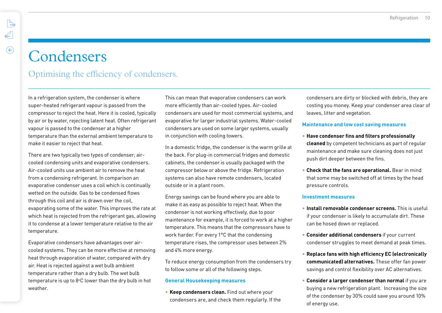# Condensers

Optimising the efficiency of condensers.

In a refrigeration system, the condenser is where super-heated refrigerant vapour is passed from the compressor to reject the heat. Here it is cooled, typically by air or by water, rejecting latent heat. Often refrigerant vapour is passed to the condenser at a higher temperature than the external ambient temperature to make it easier to reject that heat.

There are two typically two types of condenser; aircooled condensing units and evaporative condensers. Air-cooled units use ambient air to remove the heat from a condensing refrigerant. In comparison an evaporative condenser uses a coil which is continually wetted on the outside. Gas to be condensed flows through this coil and air is drawn over the coil, evaporating some of the water. This improves the rate at which heat is rejected from the refrigerant gas, allowing it to condense at a lower temperature relative to the air temperature.

Evaporative condensers have advantages over aircooled systems. They can be more effective at removing heat through evaporation of water, compared with dry air. Heat is rejected against a wet bulb ambient temperature rather than a dry bulb. The wet bulb temperature is up to  $8^{\circ}$ C lower than the dry bulb in hot weather.

This can mean that evaporative condensers can work more efficiently than air-cooled types. Air-cooled condensers are used for most commercial systems, and evaporative for larger industrial systems. Water-cooled condensers are used on some larger systems, usually in conjunction with cooling towers.

In a domestic fridge, the condenser is the warm grille at the back. For plug-in commercial fridges and domestic cabinets, the condenser is usually packaged with the compressor below or above the fridge. Refrigeration systems can also have remote condensers, located outside or in a plant room.

Energy savings can be found where you are able to make it as easy as possible to reject heat. When the condenser is not working effectively, due to poor maintenance for example, it is forced to work at a higher temperature. This means that the compressors have to work harder. For every 1°C that the condensing temperature rises, the compressor uses between 2% and 4% more energy.

To reduce energy consumption from the condensers try to follow some or all of the following steps.

### **General Housekeeping measures**

• **Keep condensers clean.** Find out where your condensers are, and check them regularly. If the condensers are dirty or blocked with debris, they are costing you money. Keep your condenser area clear of leaves, litter and vegetation.

### **Maintenance and low cost saving measures**

- **Have condenser fins and filters professionally cleaned** by competent technicians as part of regular maintenance and make sure cleaning does not just push dirt deeper between the fins.
- **Check that the fans are operational.** Bear in mind that some may be switched off at times by the head pressure controls.

#### **Investment measures**

- **Install removable condenser screens.** This is useful if your condenser is likely to accumulate dirt. These can be hosed down or replaced.
- **Consider additional condensers** if your current condenser struggles to meet demand at peak times.
- **Replace fans with high efficiency EC (electronically communicated) alternatives.** These offer fan power savings and control flexibility over AC alternatives.
- **Consider a larger condenser than normal** if you are buying a new refrigeration plant. Increasing the size of the condenser by 30% could save you around 10% of energy use.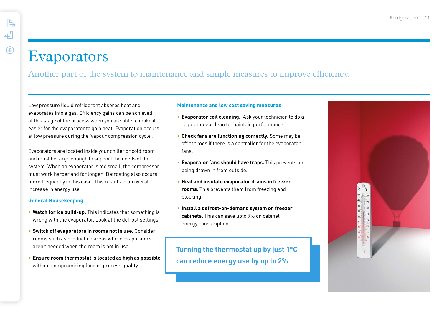$\mathbb{R}$ 

### Evaporators

Another part of the system to maintenance and simple measures to improve efficiency.

Low pressure liquid refrigerant absorbs heat and evaporates into a gas. Efficiency gains can be achieved at this stage of the process when you are able to make it easier for the evaporator to gain heat. Evaporation occurs at low pressure during the 'vapour compression cycle'.

Evaporators are located inside your chiller or cold room and must be large enough to support the needs of the system. When an evaporator is too small, the compressor must work harder and for longer. Defrosting also occurs more frequently in this case. This results in an overall increase in energy use.

### **General Housekeeping**

- **Watch for ice build-up.** This indicates that something is wrong with the evaporator. Look at the defrost settings.
- **Switch off evaporators in rooms not in use.** Consider rooms such as production areas where evaporators aren't needed when the room is not in use.
- **Ensure room thermostat is located as high as possible**  without compromising food or process quality.

#### **Maintenance and low cost saving measures**

- **Evaporator coil cleaning.** Ask your technician to do a regular deep clean to maintain performance.
- **Check fans are functioning correctly.** Some may be off at times if there is a controller for the evaporator fans.
- **Evaporator fans should have traps.** This prevents air being drawn in from outside.
- **Heat and insulate evaporator drains in freezer rooms.** This prevents them from freezing and blocking.
- **Install a defrost-on-demand system on freezer cabinets.** This can save upto 9% on cabinet energy consumption.

### **Turning the thermostat up by just 1°C can reduce energy use by up to 2%**

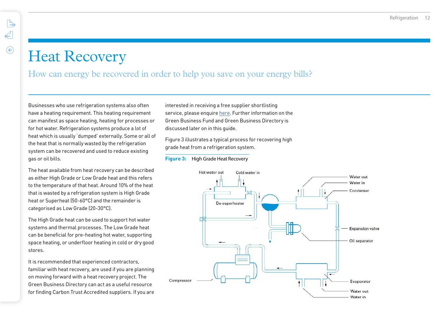### Heat Recovery

### How can energy be recovered in order to help you save on your energy bills?

Businesses who use refrigeration systems also often have a heating requirement. This heating requirement can manifest as space heating, heating for processes or for hot water. Refrigeration systems produce a lot of heat which is usually 'dumped' externally. Some or all of the heat that is normally wasted by the refrigeration system can be recovered and used to reduce existing gas or oil bills.

The heat available from heat recovery can be described as either High Grade or Low Grade heat and this refers to the temperature of that heat. Around 10% of the heat that is wasted by a refrigeration system is High Grade heat or Superheat (50-60°C) and the remainder is categorised as Low Grade (20-30°C).

The High Grade heat can be used to support hot water systems and thermal processes. The Low Grade heat can be beneficial for pre-heating hot water, supporting space heating, or underfloor heating in cold or dry good stores.

It is recommended that experienced contractors, familiar with heat recovery, are used if you are planning on moving forward with a heat recovery project. The Green Business Directory can act as a useful resource for finding Carbon Trust Accredited suppliers. If you are interested in receiving a free supplier shortlisting service, please enquire [here.](https://www.carbontrust.com/resources/green-business-directory/contact-form-find-suppliers-for-your-project/ ) Further information on the Green Business Fund and Green Business Directory is discussed later on in this guide.

Figure 3 illustrates a typical process for recovering high grade heat from a refrigeration system.

#### **Figure 3:** High Grade Heat Recovery

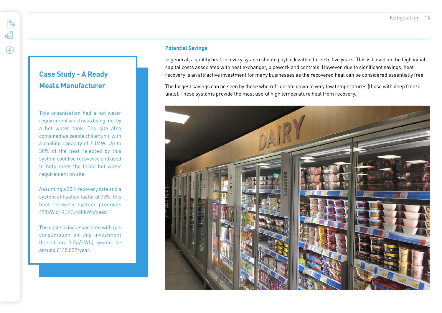### **Potential Savings**

In general, a quality heat recovery system should payback within three to five years. This is based on the high initial capital costs associated with heat exchanger, pipework and controls. However, due to significant savings, heat recovery is an attractive investment for many businesses as the recovered heat can be considered essentially free.

The largest savings can be seen by those who refrigerate down to very low temperatures (those with deep freeze units). These systems provide the most useful high temperature heat from recovery.



### **Case Study - A Ready Meals Manufacturer**

This organisation had a hot water requirement which was being met by a hot water tank. The site also contained a sizeable chiller unit, with a cooling capacity of 2.1MW. Up to 30% of the heat rejected by this system could be recovered and used to help meet the large hot water requirement on site.

Assuming a 30% recovery rate and a system utilisation factor of 75%, this heat recovery system produces 473kW or 4,143,480kWh/year.

The cost saving associated with gas consumption on this investment (based on 3.5p/kWh) would be around £145,022/year.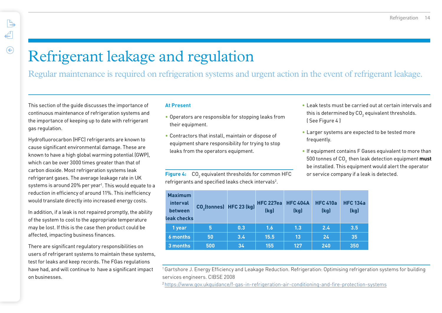# Refrigerant leakage and regulation

Regular maintenance is required on refrigeration systems and urgent action in the event of refrigerant leakage.

This section of the guide discusses the importance of continuous maintenance of refrigeration systems and the importance of keeping up to date with refrigerant gas regulation.

Hydrofluorocarbon (HFC) refrigerants are known to cause significant environmental damage. These are known to have a high global warming potential (GWP), which can be over 3000 times greater than that of carbon dioxide. Most refrigeration systems leak refrigerant gases. The average leakage rate in UK systems is around 20% per year<sup>1</sup>. This would equate to a reduction in efficiency of around 11%. This inefficiency would translate directly into increased energy costs.

In addition, if a leak is not repaired promptly, the ability of the system to cool to the appropriate temperature may be lost. If this is the case then product could be affected, impacting business finances.

There are significant regulatory responsibilities on users of refrigerant systems to maintain these systems, test for leaks and keep records. The FGas regulations have had, and will continue to have a significant impact on businesses.

### **At Present**

- Operators are responsible for stopping leaks from their equipment.
- Contractors that install, maintain or dispose of equipment share responsibility for trying to stop leaks from the operators equipment.

**Figure 4:** CO<sub>2</sub> equivalent thresholds for common HFC refrigerants and specified leaks check intervals2 .

| <b>Maximum</b><br>interval<br>between<br>leak checks | CO <sub>2</sub> (tonnes) HFC 23 (kg) |               | <b>HFC 227ea</b><br>(kg) | <b>HFC 404A</b><br>(kg) | <b>HFC 410a</b><br>(kg) | <b>HFC 134a</b><br>(kg) |
|------------------------------------------------------|--------------------------------------|---------------|--------------------------|-------------------------|-------------------------|-------------------------|
| 1 year                                               | 5                                    | 0.3           | 1.6                      | 1.3                     | 2.4                     | 3.5                     |
| <b>6 months</b>                                      | 50                                   | $3.4^{\circ}$ | 15.5                     | 13                      | 24                      | 35                      |
| 3 months                                             | 500                                  | 34            | 155                      | 127                     | 240                     | 350                     |

<sup>1</sup> Gartshore J. Energy Efficiency and Leakage Reduction. Refrigeration: Optimising refrigeration systems for building services engineers. CIBSE 2008

2<https://www.gov.ukguidance/f-gas-in-refrigeration-air-conditioning-and-fire-protection-systems>

- Leak tests must be carried out at certain intervals and this is determined by CO $_{\rm 2}$  equivalent thresholds. ( See Figure 4 )
- Larger systems are expected to be tested more frequently.
- If equipment contains F Gases equivalent to more than 500 tonnes of CO2 then leak detection equipment **must** be installed. This equipment would alert the operator or service company if a leak is detected.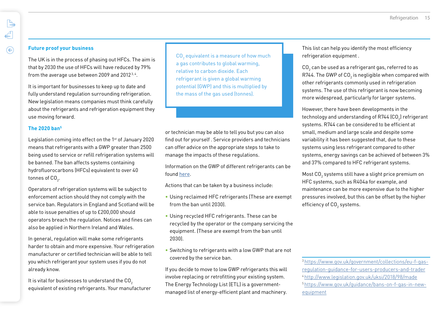### **Future proof your business**

The UK is in the process of phasing out HFCs. The aim is that by 2030 the use of HFCs will have reduced by 79% from the average use between 2009 and 2012<sup>3,4</sup>.

It is important for businesses to keep up to date and fully understand regulation surrounding refrigeration. New legislation means companies must think carefully about the refrigerants and refrigeration equipment they use moving forward.

### **The 2020 ban5**

Legislation coming into effect on the 1st of January 2020 means that refrigerants with a GWP greater than 2500 being used to service or refill refrigeration systems will be banned. The ban affects systems containing hydrofluorocarbons (HFCs) equivalent to over 40 tonnes of CO $_{_2}$ .

Operators of refrigeration systems will be subject to enforcement action should they not comply with the service ban. Regulators in England and Scotland will be able to issue penalties of up to £200,000 should operators breach the regulation. Notices and fines can also be applied in Northern Ireland and Wales.

In general, regulation will make some refrigerants harder to obtain and more expensive. Your refrigeration manufacturer or certified technician will be able to tell you which refrigerant your system uses if you do not already know.

It is vital for businesses to understand the  $CO<sub>2</sub>$ equivalent of existing refrigerants. Your manufacturer

 $\mathsf{CO}_2$  equivalent is a measure of how much a gas contributes to global warming, relative to carbon dioxide. Each refrigerant is given a global warming potential (GWP) and this is multiplied by the mass of the gas used (tonnes).

or technician may be able to tell you but you can also find out for yourself . Service providers and technicians can offer advice on the appropriate steps to take to manage the impacts of these regulations.

Information on the GWP of different refrigerants can be found [here.](https://www.gov.uk/guidance/calculate-the-carbon-dioxide-equivalent-quantity-of-an-f-gas.)

Actions that can be taken by a business include:

- Using reclaimed HFC refrigerants (These are exempt from the ban until 2030).
- Using recycled HFC refrigerants. These can be recycled by the operator or the company servicing the equipment. (These are exempt from the ban until 2030).
- Switching to refrigerants with a low GWP that are not covered by the service ban.

If you decide to move to low GWP refrigerants this will involve replacing or retrofitting your existing system. The Energy Technology List (ETL) is a governmentmanaged list of energy-efficient plant and machinery. This list can help you identify the most efficiency refrigeration equipment .

 $\mathtt{CO}_2$  can be used as a refrigerant gas, referred to as R744. The GWP of CO $_2$  is negligible when compared with other refrigerants commonly used in refrigeration systems. The use of this refrigerant is now becoming more widespread, particularly for larger systems.

However, there have been developments in the technology and understanding of R744 (CO $_{\textrm{\scriptsize2}}$ ) refrigerant systems. R744 can be considered to be efficient at small, medium and large scale and despite some variability it has been suggested that, due to these systems using less refrigerant compared to other systems, energy savings can be achieved of between 3% and 37% compared to HFC refrigerant systems.

Most CO $_{\rm 2}$  systems still have a slight price premium on HFC systems, such as R404a for example, and maintenance can be more expensive due to the higher pressures involved, but this can be offset by the higher efficiency of CO $_{2}$  systems.

3 [https://www.gov.uk/government/collections/eu-f-gas](https://www.gov.uk/government/collections/eu-f-gas-regulation-guidance-for-users-producers-and-trade)[regulation-guidance-for-users-producers-and-trader](https://www.gov.uk/government/collections/eu-f-gas-regulation-guidance-for-users-producers-and-trade) 4 <http://www.legislation.gov.uk/uksi/2018/98/made> 5 [https://www.gov.uk/guidance/bans-on-f-gas-in-new](https://www.gov.uk/guidance/bans-on-f-gas-in-new-equipment)[equipment](https://www.gov.uk/guidance/bans-on-f-gas-in-new-equipment)

 $\leftarrow$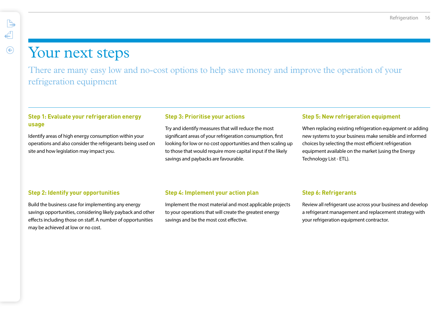### Your next steps

 $\mathbb{B}$ 

€

 $\odot$ 

There are many easy low and no-cost options to help save money and improve the operation of your refrigeration equipment

### **Step 1: Evaluate your refrigeration energy usage**

Identify areas of high energy consumption within your operations and also consider the refrigerants being used on site and how legislation may impact you.

### **Step 3: Prioritise your actions**

Try and identify measures that will reduce the most significant areas of your refrigeration consumption, first looking for low or no cost opportunities and then scaling up to those that would require more capital input if the likely savings and paybacks are favourable.

### **Step 5: New refrigeration equipment**

When replacing existing refrigeration equipment or adding new systems to your business make sensible and informed choices by selecting the most efficient refrigeration equipment available on the market (using the Energy Technology List - ETL).

### **Step 2: Identify your opportunities**

Build the business case for implementing any energy savings opportunities, considering likely payback and other effects including those on staff. A number of opportunities may be achieved at low or no cost.

### **Step 4: Implement your action plan**

Implement the most material and most applicable projects to your operations that will create the greatest energy savings and be the most cost effective.

### **Step 6: Refrigerants**

Review all refrigerant use across your business and develop a refrigerant management and replacement strategy with your refrigeration equipment contractor.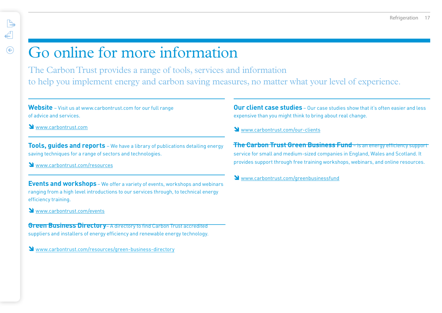# Go online for more information

The Carbon Trust provides a range of tools, services and information to help you implement energy and carbon saving measures, no matter what your level of experience.

**Website** – Visit us at www.carbontrust.com for our full range of advice and services.

Www.carbontrust.com

 $\mathbb{R}$ 

 $\leftarrow$ 

 $\odot$ 

**Tools, guides and reports** – We have a library of publications detailing energy saving techniques for a range of sectors and technologies.

[www.carbontrust.com/](www.carbontrust.com/publications)resources

**Events and workshops** – We offer a variety of events, workshops and webinars ranging from a high level introductions to our services through, to technical energy efficiency training.

<www.carbontrust.com/events>

**Green Business Directory– A directory to find Carbon Trust accredited** suppliers and installers of energy efficiency and renewable energy technology.

[www.carbontrust.com/resources/g](https://www.carbontrust.com/resources/green-business-directory/)reen-business-directory

**Our client case studies** – Our case studies show that it's often easier and less expensive than you might think to bring about real change.

[www.carbontrust.com/o](https://www.carbontrust.com/our-clients/)ur-clients

**The Carbon Trust Green Business Fund** – is an energy efficiency support service for small and medium-sized companies in England, Wales and Scotland. It provides support through free training workshops, webinars, and online resources.

Www.carbontrust.com/greenbusinessfund